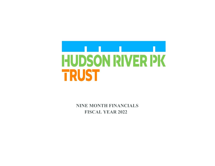

**NINE MONTH FINANCIALS FISCAL YEAR 2022**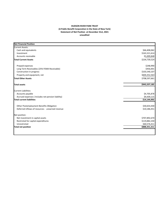## **HUDSON RIVER PARK TRUST (A Public Benefit Corporation in the State of New York) Statement of Net Position at December 31st, 2021 unaudited**

| <b>Net Financial Position</b>                     |               |
|---------------------------------------------------|---------------|
| <b>Current Assets:</b>                            |               |
| Cash and equivalents                              | \$66,408,062  |
| Investment                                        | \$163,321,614 |
| Accounts receivable                               | \$5,009,848   |
| <b>Total Current Assets</b>                       | \$234,739,524 |
| Prepaid expenses                                  | \$248,990     |
| Long Term Receivables (25% FEMA Receivable)       | \$456,001     |
| Construction in progress                          | \$103,540,107 |
| Property and equipment, net                       | \$604,352,563 |
| <b>Total Other Assets</b>                         | \$708,597,661 |
| <b>Total assets</b>                               | \$943,337,185 |
| <b>Current Liabilities:</b>                       |               |
| Accounts payable                                  | \$4,705,878   |
| Accrued expenses (Includes net pension liability) | \$9,439,115   |
| <b>Total current liabilities</b>                  | \$14,144,993  |
| Other Postemployment Benefits Obligation          | \$30,654,430  |
| Deferred inflows of resources - unearned revenue  | \$10,186,451  |
| Net position:                                     |               |
| Net investment in capital assets                  | \$707,892,670 |
| Restricted for capital expenditures               | \$119,882,230 |
| Unrestricted                                      | \$60,576,411  |
| <b>Total net position</b>                         | \$888,351,311 |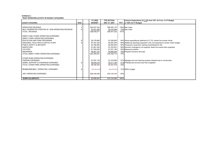## **SCHEDULE 1TRUST OPERATING ACTIVITY BY BUDGET CATEGORIES**

|                                                                                                                                                                                                                                                                                                                  |             | FY 2022                                                                                                                   | <b>YTD ACTUAL</b>                                                                                                          |                           | Variance Explanations (if + /- 5% from 75% for 9 mo. vs FY Budget                                                                                                                                                                                                                                                                                 |
|------------------------------------------------------------------------------------------------------------------------------------------------------------------------------------------------------------------------------------------------------------------------------------------------------------------|-------------|---------------------------------------------------------------------------------------------------------------------------|----------------------------------------------------------------------------------------------------------------------------|---------------------------|---------------------------------------------------------------------------------------------------------------------------------------------------------------------------------------------------------------------------------------------------------------------------------------------------------------------------------------------------|
| <b>BUDGET CATEGORIES</b>                                                                                                                                                                                                                                                                                         | <b>Note</b> | <b>BUDGET</b>                                                                                                             | DEC 31, 2021                                                                                                               | <b>PCT</b>                | or 100% for FY Budget)                                                                                                                                                                                                                                                                                                                            |
| <b>OPERATING REVENUE</b><br>SELF-GENERATED PORTION OF NON-OPERATING REVENUE<br><b>TOTAL REVENUE</b><br>DIRECT AND OTHER OPERATING EXPENSES<br>DIRECT PARK OPERATING EXPENSES<br>EDUCATION AND PARK PROGRAMS<br>GROUNDS, FACILITIES & CAPITAL PLANT<br>PUBLIC SAFETY & SECURITY<br><b>SANITATION</b><br>UTILITIES |             | \$24,837,345<br>\$3,201,926<br>\$28,039,271<br>\$2,376,865<br>\$7,407,328<br>\$3,788,562<br>\$1,861,439<br>\$1,500,000    | \$26,025,176<br>\$2,416,046<br>\$28,441,222<br>\$1,528,800<br>\$5,053,939<br>\$2,464,944<br>\$1,233,551<br>\$1,231,190     | 101%                      | 105% See notes<br>75% See notes<br>64% Some expenditures deferred to FY 23; certain live events virtual<br>68% Additional spending expected in Q4, but expected to remain under budget<br>65% Temporary vacancies; training rescheduled for Q4<br>66% Summer contingency not required; fewer live events than projected<br>82% Seasonal variation |
| <b>INSURANCE</b><br>TOTAL DIRECT PARK OPERATING EXPENSES<br>OTHER PARK OPERATING EXPENSES<br><b>PARKING EXPENSES</b><br>ADMIN, SUPPORT & OVERHEAD EXPENSES<br>TOTAL OTHER PARK OPERATING EXPENSES<br>REIMBURSEABLE OPERATING EXPENSES<br>NET OPERATING EXPENSES<br><b>SURPLUS (DEFICIT)</b>                      | 3           | \$6,461,727<br>\$23,395,921<br>\$1,891,178<br>\$6,445,276<br>\$8,336,454<br>(56, 391, 947)<br>\$25,340,428<br>\$2,698,843 | \$4,846,295<br>\$16,358,718<br>\$1,079,895<br>\$3,311,182<br>\$4,391,076<br>(54, 625, 053)<br>\$16,124,742<br>\$12,316,480 | 70%<br>53%<br>64%<br>456% | 75% Prepaid insurance accruals<br>57% Signage and roof cleaning projects delayed due to construction<br>51% Professional services less than budgeted<br>72% Within budget                                                                                                                                                                         |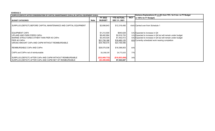## **SCHEDULE 2**

| SURPLUS (DEFICIT) AFTER CONSIDERATION OF CAPITAL MAINTENANCE (CAPm) & CAPITAL EQUIPMENT (CAPx)                                                                      |             |                                                                                  |                                                                         |            | Variance Explanations (if $+/-5\%$ from 75% for 9 mo. vs FY Budget                                                                                                                                              |
|---------------------------------------------------------------------------------------------------------------------------------------------------------------------|-------------|----------------------------------------------------------------------------------|-------------------------------------------------------------------------|------------|-----------------------------------------------------------------------------------------------------------------------------------------------------------------------------------------------------------------|
|                                                                                                                                                                     |             | FY 2022                                                                          | <b>YTD ACTUAL</b>                                                       | <b>PCT</b> | or 100% for FY Budget)                                                                                                                                                                                          |
| <b>BUDGET CATEGORIES</b>                                                                                                                                            | <b>Note</b> | <b>BUDGET</b>                                                                    | <b>DEC 31, 2021</b>                                                     |            |                                                                                                                                                                                                                 |
| SURPLUS (DEFICIT) BEFORE CAPITAL MAINTENANCE AND CAPITAL EQUIPMENT                                                                                                  |             | \$2,698,843                                                                      | \$12,316,480                                                            |            | 456% Carried over from Schedule 1                                                                                                                                                                               |
| <b>EQUIPMENT CAPX</b><br>UPLAND AND PARK PIERS CAPm<br>MARINE STRUCTURES OTHER THAN PIER 40 CAPm<br>PIER 40 CAPm<br>GROSS AMOUNT CAPx AND CAPM WITHOUT REIMBURSABLE |             | \$1,212,500<br>\$8,482,884<br>\$3,343,025<br><u>\$21,730,166</u><br>\$34,768,575 | \$640,628<br>\$2,616,720<br>\$1,452,012<br>\$18,460,125<br>\$23,169,486 |            | 53% Expected to increase in Q4<br>31% Expected to increase in Q4 but will remain under budget<br>43% Expected to increase in Q4 but will remain under budget<br>85% Currently scheduled work nearing completion |
| REIMBURSABLE CAPx AND CAPm                                                                                                                                          |             | \$28,570,036                                                                     | \$18,396,853                                                            | 64%        |                                                                                                                                                                                                                 |
| CAPX and CAPm net of reimbursable                                                                                                                                   |             | \$6,198,539                                                                      | \$4,772,633                                                             | 77%        |                                                                                                                                                                                                                 |
| SURPLUS (DEFICIT) AFTER CAPx AND CAPM WITHOUT REIMBURSABLE<br>SURPLUS (DEFICIT) AFTER CAPX AND CAPM NET OF REIMBURSABLE                                             |             | (\$32,069,732)<br>( \$3,499,696)                                                 | (\$10,853,006)<br>\$7,543,847                                           | 34%        |                                                                                                                                                                                                                 |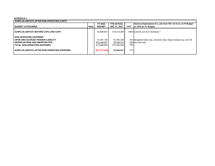## **SCHEDULE 3**

| I SURPLUS (DEFICIT) AFTER NON-OPERATING COSTS  |      |                 |                     |            |                                                                     |  |  |
|------------------------------------------------|------|-----------------|---------------------|------------|---------------------------------------------------------------------|--|--|
|                                                |      | FY 2022         | <b>YTD ACTUAL</b>   |            | Variance Explanations (if + /- 5% from 75% for 9 mo. vs FY Budget   |  |  |
| <b>BUDGET CATEGORIES</b>                       | Note | <b>BUDGET</b>   | <b>DEC 31, 2021</b> | <b>PCT</b> | or 100% for FY Budget)                                              |  |  |
| SURPLUS (DEFICIT) BEFORE CAPm AND CAPX         |      | \$2,698,843     | \$12.316.480        |            | 456% Carried over from Schedule 1                                   |  |  |
| <b>NON-OPERATING EXPENSES</b>                  |      |                 |                     |            |                                                                     |  |  |
| <b>OPEB AND ACCRUED PENSION LIABILITY</b>      |      | \$1.407.128     | \$1,055,346         |            | 75% Budgeted below exp. actuarial value; large increase exp. end Q4 |  |  |
| <b>DEPRECIATIONS AND AMORTIZATION</b>          |      | \$12,448,937    | \$9,336,703         |            | 75% Accrued only                                                    |  |  |
| <b>TOTAL NON-OPERATING EXPENSES</b>            |      | \$13,856,065    | \$10,392,049        | 75%        |                                                                     |  |  |
| SURPLUS (DEFICIT) AFTER NON-OPERATING EXPENSES |      | (S11, 157, 222) | \$1,924,431         | $-17%$     |                                                                     |  |  |